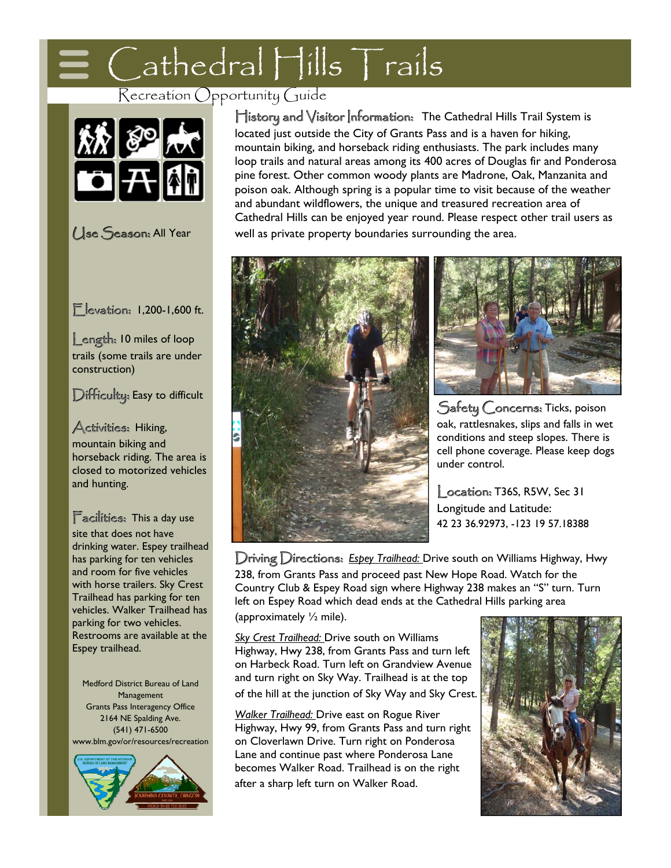Cathedral Hills Trails

## Recreation Opportunity Guide



Use Season: All Year

Elevation: 1,200-1,600 ft.

**Length: 10 miles of loop** trails (some trails are under construction)

 $\mathbf{Difficulty}$ : Easy to difficult

Activities: Activities: Hiking, mountain biking and horseback riding. The area is closed to motorized vehicles and hunting.

Facilities: This a day use

site that does not have drinking water. Espey trailhead has parking for ten vehicles and room for five vehicles with horse trailers. Sky Crest Trailhead has parking for ten vehicles. Walker Trailhead has parking for two vehicles. Restrooms are available at the Espey trailhead.

Medford District Bureau of Land Management Grants Pass Interagency Office 2164 NE Spalding Ave. (541) 471-6500 www.blm.gov/or/resources/recreation



 $\Box$ istory and Visitor Information: The Cathedral Hills Trail System is located just outside the City of Grants Pass and is a haven for hiking, mountain biking, and horseback riding enthusiasts. The park includes many loop trails and natural areas among its 400 acres of Douglas fir and Ponderosa pine forest. Other common woody plants are Madrone, Oak, Manzanita and poison oak. Although spring is a popular time to visit because of the weather and abundant wildflowers, the unique and treasured recreation area of Cathedral Hills can be enjoyed year round. Please respect other trail users as well as private property boundaries surrounding the area.





Safety Concerns: Safety Concerns: Ticks, poison oak, rattlesnakes, slips and falls in wet conditions and steep slopes. There is cell phone coverage. Please keep dogs under control.

Location: Location: T36S, R5W, Sec 31 Longitude and Latitude: 42 23 36.92973, -123 19 57.18388

Driving Directions: **Espey Trailhead:** Drive south on Williams Highway, Hwy 238, from Grants Pass and proceed past New Hope Road. Watch for the Country Club & Espey Road sign where Highway 238 makes an "S" turn. Turn left on Espey Road which dead ends at the Cathedral Hills parking area (approximately ½ mile).

*Sky Crest Trailhead:* Drive south on Williams Highway, Hwy 238, from Grants Pass and turn left on Harbeck Road. Turn left on Grandview Avenue and turn right on Sky Way. Trailhead is at the top of the hill at the junction of Sky Way and Sky Crest .

*Walker Trailhead:* Drive east on Rogue River Highway, Hwy 99, from Grants Pass and turn right on Cloverlawn Drive. Turn right on Ponderosa Lane and continue past where Ponderosa Lane becomes Walker Road. Trailhead is on the right after a sharp left turn on Walker Road.